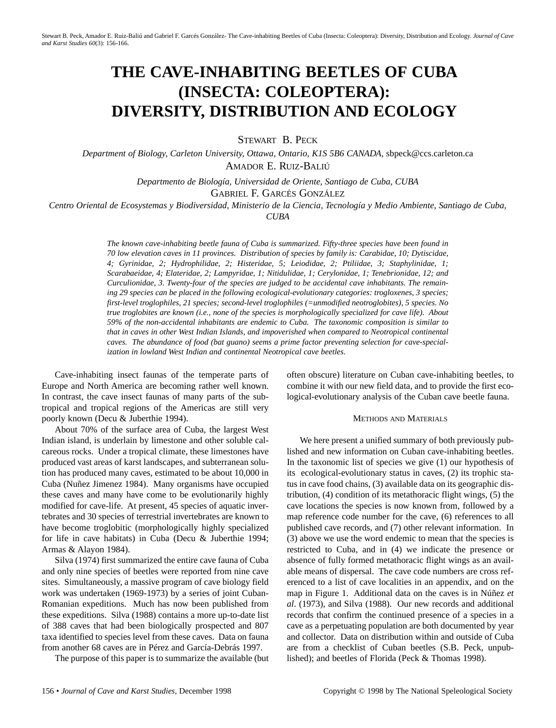# **THE CAVE-INHABITING BEETLES OF CUBA (INSECTA: COLEOPTERA): DIVERSITY, DISTRIBUTION AND ECOLOGY**

STEWART B. PECK

*Department of Biology, Carleton University, Ottawa, Ontario, K1S 5B6 CANADA,* sbpeck@ccs.carleton.ca AMADOR E. RUIZ-BALIÚ

*Departmento de Biología, Universidad de Oriente, Santiago de Cuba, CUBA*

GABRIEL F. GARCÉS GONZÁLEZ

*Centro Oriental de Ecosystemas y Biodiversidad, Ministerio de la Ciencia, Tecnología y Medio Ambiente, Santiago de Cuba,*

*CUBA*

*The known cave-inhabiting beetle fauna of Cuba is summarized. Fifty-three species have been found in 70 low elevation caves in 11 provinces. Distribution of species by family is: Carabidae, 10; Dytiscidae, 4; Gyrinidae, 2; Hydrophilidae, 2; Histeridae, 5; Leiodidae, 2; Ptiliidae, 3; Staphylinidae, 1; Scarabaeidae, 4; Elateridae, 2; Lampyridae, 1; Nitidulidae, 1; Cerylonidae, 1; Tenebrionidae, 12; and Curculionidae, 3. Twenty-four of the species are judged to be accidental cave inhabitants. The remaining 29 species can be placed in the following ecological-evolutionary categories: trogloxenes, 3 species; first-level troglophiles, 21 species; second-level troglophiles (=unmodified neotroglobites), 5 species. No true troglobites are known (i.e., none of the species is morphologically specialized for cave life). About 59% of the non-accidental inhabitants are endemic to Cuba. The taxonomic composition is similar to that in caves in other West Indian Islands, and impoverished when compared to Neotropical continental caves. The abundance of food (bat guano) seems a prime factor preventing selection for cave-specialization in lowland West Indian and continental Neotropical cave beetles.*

Cave-inhabiting insect faunas of the temperate parts of Europe and North America are becoming rather well known. In contrast, the cave insect faunas of many parts of the subtropical and tropical regions of the Americas are still very poorly known (Decu & Juberthie 1994).

About 70% of the surface area of Cuba, the largest West Indian island, is underlain by limestone and other soluble calcareous rocks. Under a tropical climate, these limestones have produced vast areas of karst landscapes, and subterranean solution has produced many caves, estimated to be about 10,000 in Cuba (Nuñez Jimenez 1984). Many organisms have occupied these caves and many have come to be evolutionarily highly modified for cave-life. At present, 45 species of aquatic invertebrates and 30 species of terrestrial invertebrates are known to have become troglobitic (morphologically highly specialized for life in cave habitats) in Cuba (Decu & Juberthie 1994; Armas & Alayon 1984).

Silva (1974) first summarized the entire cave fauna of Cuba and only nine species of beetles were reported from nine cave sites. Simultaneously, a massive program of cave biology field work was undertaken (1969-1973) by a series of joint Cuban-Romanian expeditions. Much has now been published from these expeditions. Silva (1988) contains a more up-to-date list of 388 caves that had been biologically prospected and 807 taxa identified to species level from these caves. Data on fauna from another 68 caves are in Pérez and García-Debrás 1997.

The purpose of this paper is to summarize the available (but

often obscure) literature on Cuban cave-inhabiting beetles, to combine it with our new field data, and to provide the first ecological-evolutionary analysis of the Cuban cave beetle fauna.

#### METHODS AND MATERIALS

We here present a unified summary of both previously published and new information on Cuban cave-inhabiting beetles. In the taxonomic list of species we give (1) our hypothesis of its ecological-evolutionary status in caves, (2) its trophic status in cave food chains, (3) available data on its geographic distribution, (4) condition of its metathoracic flight wings, (5) the cave locations the species is now known from, followed by a map reference code number for the cave, (6) references to all published cave records, and (7) other relevant information. In (3) above we use the word endemic to mean that the species is restricted to Cuba, and in (4) we indicate the presence or absence of fully formed metathoracic flight wings as an available means of dispersal. The cave code numbers are cross referenced to a list of cave localities in an appendix, and on the map in Figure 1. Additional data on the caves is in Núñez *et al*. (1973), and Silva (1988). Our new records and additional records that confirm the continued presence of a species in a cave as a perpetuating population are both documented by year and collector. Data on distribution within and outside of Cuba are from a checklist of Cuban beetles (S.B. Peck, unpublished); and beetles of Florida (Peck & Thomas 1998).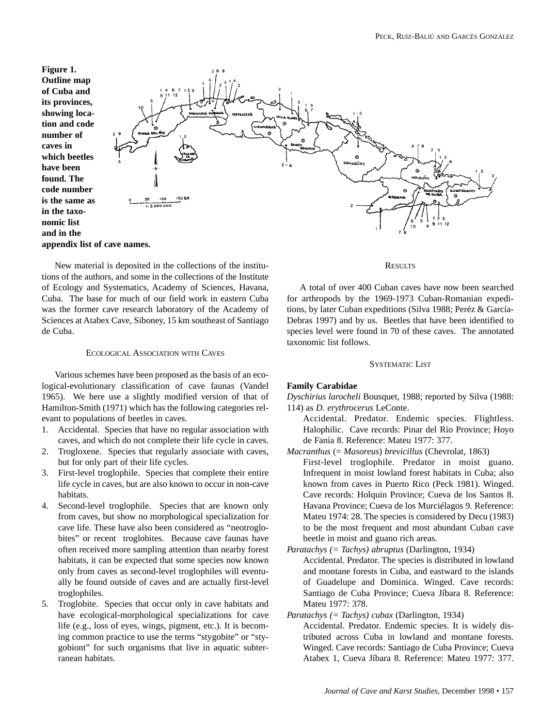**Figure 1. Outline map of Cuba and its provinces, showing location and code number of caves in which beetles have been found. The code number is the same as in the taxonomic list and in the appendix list of cave names.**



New material is deposited in the collections of the institutions of the authors, and some in the collections of the Institute of Ecology and Systematics, Academy of Sciences, Havana, Cuba. The base for much of our field work in eastern Cuba was the former cave research laboratory of the Academy of Sciences at Atabex Cave, Siboney, 15 km southeast of Santiago de Cuba.

## ECOLOGICAL ASSOCIATION WITH CAVES

Various schemes have been proposed as the basis of an ecological-evolutionary classification of cave faunas (Vandel 1965). We here use a slightly modified version of that of Hamilton-Smith (1971) which has the following categories relevant to populations of beetles in caves.

- 1. Accidental. Species that have no regular association with caves, and which do not complete their life cycle in caves.
- 2. Trogloxene. Species that regularly associate with caves, but for only part of their life cycles.
- 3. First-level troglophile. Species that complete their entire life cycle in caves, but are also known to occur in non-cave habitats.
- 4. Second-level troglophile. Species that are known only from caves, but show no morphological specialization for cave life. These have also been considered as "neotroglobites" or recent troglobites. Because cave faunas have often received more sampling attention than nearby forest habitats, it can be expected that some species now known only from caves as second-level troglophiles will eventually be found outside of caves and are actually first-level troglophiles.
- 5. Troglobite. Species that occur only in cave habitats and have ecological-morphological specializations for cave life (e.g., loss of eyes, wings, pigment, etc.). It is becoming common practice to use the terms "stygobite" or "stygobiont" for such organisms that live in aquatic subterranean habitats.

## **RESULTS**

A total of over 400 Cuban caves have now been searched for arthropods by the 1969-1973 Cuban-Romanian expeditions, by later Cuban expeditions (Silva 1988; Peréz & García-Debras 1997) and by us. Beetles that have been identified to species level were found in 70 of these caves. The annotated taxonomic list follows.

## SYSTEMATIC LIST

## **Family Carabidae**

*Dyschirius larocheli* Bousquet, 1988; reported by Silva (1988: 114) as *D. erythrocerus* LeConte.

- Accidental. Predator. Endemic species. Flightless. Halophilic. Cave records: Pinar del Río Province; Hoyo de Fanía 8. Reference: Mateu 1977: 377.
- *Macranthus* (= *Masoreus*) *brevicillus* (Chevrolat, 1863) First-level troglophile. Predator in moist guano. Infrequent in moist lowland forest habitats in Cuba; also known from caves in Puerto Rico (Peck 1981). Winged. Cave records: Holquin Province; Cueva de los Santos 8. Havana Province; Cueva de los Murciélagos 9. Reference: Mateu 1974: 28. The species is considered by Decu (1983) to be the most frequent and most abundant Cuban cave beetle in moist and guano rich areas.
- *Paratachys (= Tachys) abruptus* (Darlington, 1934)

Accidental. Predator. The species is distributed in lowland and montane forests in Cuba, and eastward to the islands of Guadelupe and Dominica. Winged. Cave records: Santiago de Cuba Province; Cueva Jíbara 8. Reference: Mateu 1977: 378.

## *Paratachys (= Tachys) cubax* (Darlington, 1934)

Accidental. Predator. Endemic species. It is widely distributed across Cuba in lowland and montane forests. Winged. Cave records: Santiago de Cuba Province; Cueva Atabex 1, Cueva Jíbara 8. Reference: Mateu 1977: 377.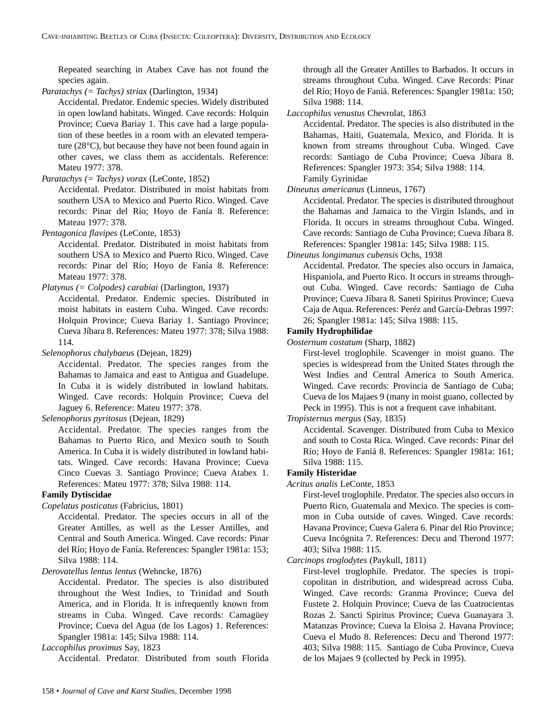Repeated searching in Atabex Cave has not found the species again.

*Paratachys (= Tachys) striax* (Darlington, 1934)

Accidental. Predator. Endemic species. Widely distributed in open lowland habitats. Winged. Cave records: Holquin Province; Cueva Bariay 1. This cave had a large population of these beetles in a room with an elevated temperature (28°C), but because they have not been found again in other caves, we class them as accidentals. Reference: Mateu 1977: 378.

*Paratachys (= Tachys) vorax* (LeConte, 1852)

Accidental. Predator. Distributed in moist habitats from southern USA to Mexico and Puerto Rico. Winged. Cave records: Pinar del Río; Hoyo de Fanía 8. Reference: Mateau 1977: 378.

*Pentagonica flavipes* (LeConte, 1853)

Accidental. Predator. Distributed in moist habitats from southern USA to Mexico and Puerto Rico. Winged. Cave records: Pinar del Río; Hoyo de Fanía 8. Reference: Mateau 1977: 378.

*Platynus (= Colpodes) carabiai* (Darlington, 1937)

Accidental. Predator. Endemic species. Distributed in moist habitats in eastern Cuba. Winged. Cave records: Holquin Province; Cueva Bariay 1. Santiago Province; Cueva Jíbara 8. References: Mateu 1977: 378; Silva 1988: 114.

*Selenophorus chalybaeus* (Dejean, 1829)

Accidental. Predator. The species ranges from the Bahamas to Jamaica and east to Antigua and Guadelupe. In Cuba it is widely distributed in lowland habitats. Winged. Cave records: Holquin Province; Cueva del Jaguey 6. Reference: Mateu 1977: 378.

*Selenophorus pyritosus* (Dejean, 1829)

Accidental. Predator. The species ranges from the Bahamas to Puerto Rico, and Mexico south to South America. In Cuba it is widely distributed in lowland habitats. Winged. Cave records: Havana Province; Cueva Cinco Cuevas 3. Santiago Province; Cueva Atabex 1. References: Mateu 1977: 378; Silva 1988: 114.

# **Family Dytiscidae**

*Copelatus posticatus* (Fabricius, 1801)

Accidental. Predator. The species occurs in all of the Greater Antilles, as well as the Lesser Antilles, and Central and South America. Winged. Cave records: Pinar del Río; Hoyo de Fanía. References: Spangler 1981a: 153; Silva 1988: 114.

*Derovatellus lentus lentus* (Wehncke, 1876)

Accidental. Predator. The species is also distributed throughout the West Indies, to Trinidad and South America, and in Florida. It is infrequently known from streams in Cuba. Winged. Cave records: Camagüey Province; Cueva del Agua (de los Lagos) 1. References: Spangler 1981a: 145; Silva 1988: 114.

*Laccophilus proximus* Say, 1823

Accidental. Predator. Distributed from south Florida

through all the Greater Antilles to Barbados. It occurs in streams throughout Cuba. Winged. Cave Records: Pinar del Río; Hoyo de Faniá. References: Spangler 1981a: 150; Silva 1988: 114.

*Laccophilus venustus* Chevrolat, 1863

Accidental. Predator. The species is also distributed in the Bahamas, Haiti, Guatemala, Mexico, and Florida. It is known from streams throughout Cuba. Winged. Cave records: Santiago de Cuba Province; Cueva Jíbara 8. References: Spangler 1973: 354; Silva 1988: 114. Family Gyrinidae

## *Dineutus americanus* (Linneus, 1767)

Accidental. Predator. The species is distributed throughout the Bahamas and Jamaica to the Virgin Islands, and in Florida. It occurs in streams throughout Cuba. Winged. Cave records: Santiago de Cuba Province; Cueva Jíbara 8. References: Spangler 1981a: 145; Silva 1988: 115.

*Dineutus longimanus cubensis* Ochs, 1938

Accidental. Predator. The species also occurs in Jamaica, Hispaniola, and Puerto Rico. It occurs in streams throughout Cuba. Winged. Cave records: Santiago de Cuba Province; Cueva Jíbara 8. Saneti Spiritus Province; Cueva Caja de Aqua. References: Peréz and García-Debras 1997: 26; Spangler 1981a: 145; Silva 1988: 115.

# **Family Hydrophilidae**

*Oosternum costatum* (Sharp, 1882)

First-level troglophile. Scavenger in moist guano. The species is widespread from the United States through the West Indies and Central America to South America. Winged. Cave records: Provincia de Santiago de Cuba; Cueva de los Majaes 9 (many in moist guano, collected by Peck in 1995). This is not a frequent cave inhabitant.

*Tropisternus mergus* (Say, 1835)

Accidental. Scavenger. Distributed from Cuba to Mexico and south to Costa Rica. Winged. Cave records: Pinar del Río; Hoyo de Faniá 8. References: Spangler 1981a: 161; Silva 1988: 115.

## **Family Histeridae**

*Acritus analis* LeConte, 1853

First-level troglophile. Predator. The species also occurs in Puerto Rico, Guatemala and Mexico. The species is common in Cuba outside of caves. Winged. Cave records: Havana Province; Cueva Galera 6. Pinar del Río Province; Cueva Incógnita 7. References: Decu and Therond 1977: 403; Silva 1988: 115.

## *Carcinops troglodytes* (Paykull, 1811)

First-level troglophile. Predator. The species is tropicopolitan in distribution, and widespread across Cuba. Winged. Cave records: Granma Province; Cueva del Fustete 2. Holquin Province; Cueva de las Cuatrocientas Rozas 2. Sancti Spiritus Province; Cueva Guanayara 3. Matanzas Province; Cueva la Eloisa 2. Havana Province; Cueva el Mudo 8. References: Decu and Therond 1977: 403; Silva 1988: 115. Santiago de Cuba Province, Cueva de los Majaes 9 (collected by Peck in 1995).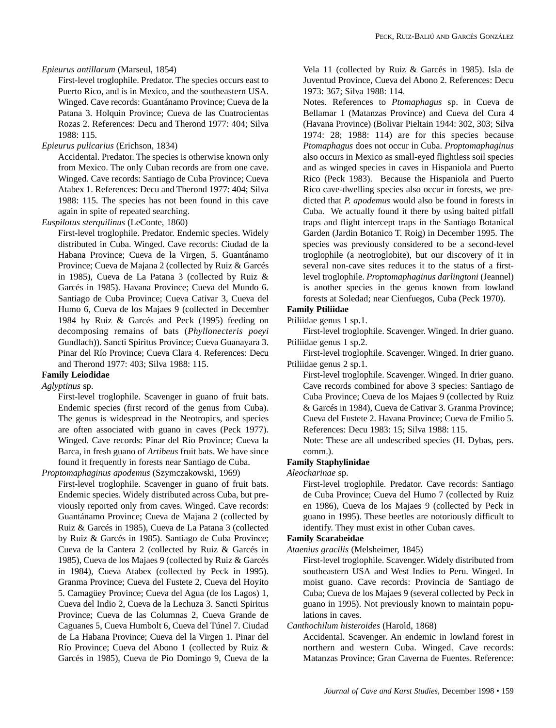## *Epieurus antillarum* (Marseul, 1854)

First-level troglophile. Predator. The species occurs east to Puerto Rico, and is in Mexico, and the southeastern USA. Winged. Cave records: Guantánamo Province; Cueva de la Patana 3. Holquin Province; Cueva de las Cuatrocientas Rozas 2. References: Decu and Therond 1977: 404; Silva 1988: 115.

# *Epieurus pulicarius* (Erichson, 1834)

Accidental. Predator. The species is otherwise known only from Mexico. The only Cuban records are from one cave. Winged. Cave records: Santiago de Cuba Province; Cueva Atabex 1. References: Decu and Therond 1977: 404; Silva 1988: 115. The species has not been found in this cave again in spite of repeated searching.

*Euspilotus sterquilinus* (LeConte, 1860)

First-level troglophile. Predator. Endemic species. Widely distributed in Cuba. Winged. Cave records: Ciudad de la Habana Province; Cueva de la Virgen, 5. Guantánamo Province; Cueva de Majana 2 (collected by Ruiz & Garcés in 1985), Cueva de La Patana 3 (collected by Ruiz & Garcés in 1985). Havana Province; Cueva del Mundo 6. Santiago de Cuba Province; Cueva Cativar 3, Cueva del Humo 6, Cueva de los Majaes 9 (collected in December 1984 by Ruiz & Garcés and Peck (1995) feeding on decomposing remains of bats (*Phyllonecteris poeyi* Gundlach)). Sancti Spiritus Province; Cueva Guanayara 3. Pinar del Río Province; Cueva Clara 4. References: Decu and Therond 1977: 403; Silva 1988: 115.

# **Family Leiodidae**

*Aglyptinus* sp.

First-level troglophile. Scavenger in guano of fruit bats. Endemic species (first record of the genus from Cuba). The genus is widespread in the Neotropics, and species are often associated with guano in caves (Peck 1977). Winged. Cave records: Pinar del Río Province; Cueva la Barca, in fresh guano of *Artibeus* fruit bats. We have since found it frequently in forests near Santiago de Cuba.

*Proptomaphaginus apodemus* (Szymczakowski, 1969)

First-level troglophile. Scavenger in guano of fruit bats. Endemic species. Widely distributed across Cuba, but previously reported only from caves. Winged. Cave records: Guantánamo Province; Cueva de Majana 2 (collected by Ruiz & Garcés in 1985), Cueva de La Patana 3 (collected by Ruiz & Garcés in 1985). Santiago de Cuba Province; Cueva de la Cantera 2 (collected by Ruiz & Garcés in 1985), Cueva de los Majaes 9 (collected by Ruiz & Garcés in 1984), Cueva Atabex (collected by Peck in 1995). Granma Province; Cueva del Fustete 2, Cueva del Hoyito 5. Camagüey Province; Cueva del Agua (de los Lagos) 1, Cueva del Indio 2, Cueva de la Lechuza 3. Sancti Spiritus Province; Cueva de las Columnas 2, Cueva Grande de Caguanes 5, Cueva Humbolt 6, Cueva del Túnel 7. Ciudad de La Habana Province; Cueva del la Virgen 1. Pinar del Río Province; Cueva del Abono 1 (collected by Ruiz & Garcés in 1985), Cueva de Pio Domingo 9, Cueva de la

Vela 11 (collected by Ruiz & Garcés in 1985). Isla de Juventud Province, Cueva del Abono 2. References: Decu 1973: 367; Silva 1988: 114.

Notes. References to *Ptomaphagus* sp. in Cueva de Bellamar 1 (Matanzas Province) and Cueva del Cura 4 (Havana Province) (Bolivar Pieltain 1944: 302, 303; Silva 1974: 28; 1988: 114) are for this species because *Ptomaphagus* does not occur in Cuba. *Proptomaphaginus* also occurs in Mexico as small-eyed flightless soil species and as winged species in caves in Hispaniola and Puerto Rico (Peck 1983). Because the Hispaniola and Puerto Rico cave-dwelling species also occur in forests, we predicted that *P. apodemus* would also be found in forests in Cuba. We actually found it there by using baited pitfall traps and flight intercept traps in the Santiago Botanical Garden (Jardin Botanico T. Roig) in December 1995. The species was previously considered to be a second-level troglophile (a neotroglobite), but our discovery of it in several non-cave sites reduces it to the status of a firstlevel troglophile. *Proptomaphaginus darlingtoni* (Jeannel) is another species in the genus known from lowland forests at Soledad; near Cienfuegos, Cuba (Peck 1970).

# **Family Ptiliidae**

Ptiliidae genus 1 sp.1. First-level troglophile. Scavenger. Winged. In drier guano. Ptiliidae genus 1 sp.2.

First-level troglophile. Scavenger. Winged. In drier guano. Ptiliidae genus 2 sp.1.

First-level troglophile. Scavenger. Winged. In drier guano. Cave records combined for above 3 species: Santiago de Cuba Province; Cueva de los Majaes 9 (collected by Ruiz & Garcés in 1984), Cueva de Cativar 3. Granma Province; Cueva del Fustete 2. Havana Province; Cueva de Emilio 5. References: Decu 1983: 15; Silva 1988: 115.

Note: These are all undescribed species (H. Dybas, pers. comm.).

# **Family Staphylinidae**

*Aleocharinae* sp.

First-level troglophile. Predator. Cave records: Santiago de Cuba Province; Cueva del Humo 7 (collected by Ruiz en 1986), Cueva de los Majaes 9 (collected by Peck in guano in 1995). These beetles are notoriously difficult to identify. They must exist in other Cuban caves.

## **Family Scarabeidae**

*Ataenius gracilis* (Melsheimer, 1845)

First-level troglophile. Scavenger. Widely distributed from southeastern USA and West Indies to Peru. Winged. In moist guano. Cave records: Provincia de Santiago de Cuba; Cueva de los Majaes 9 (several collected by Peck in guano in 1995). Not previously known to maintain populations in caves.

*Canthochilum histeroides* (Harold, 1868)

Accidental. Scavenger. An endemic in lowland forest in northern and western Cuba. Winged. Cave records: Matanzas Province; Gran Caverna de Fuentes. Reference: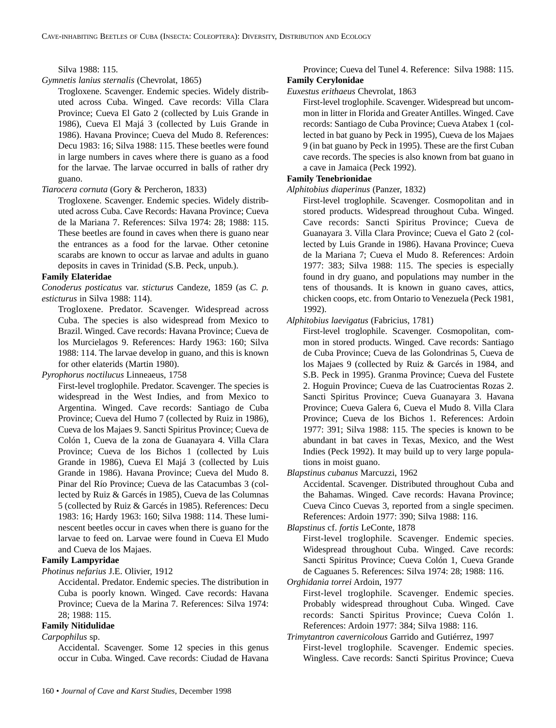Silva 1988: 115.

*Gymnetis lanius sternalis* (Chevrolat, 1865)

Trogloxene. Scavenger. Endemic species. Widely distributed across Cuba. Winged. Cave records: Villa Clara Province; Cueva El Gato 2 (collected by Luis Grande in 1986), Cueva El Majá 3 (collected by Luis Grande in 1986). Havana Province; Cueva del Mudo 8. References: Decu 1983: 16; Silva 1988: 115. These beetles were found in large numbers in caves where there is guano as a food for the larvae. The larvae occurred in balls of rather dry guano.

## *Tiarocera cornuta* (Gory & Percheron, 1833)

Trogloxene. Scavenger. Endemic species. Widely distributed across Cuba. Cave Records: Havana Province; Cueva de la Mariana 7. References: Silva 1974: 28; 1988: 115. These beetles are found in caves when there is guano near the entrances as a food for the larvae. Other cetonine scarabs are known to occur as larvae and adults in guano deposits in caves in Trinidad (S.B. Peck, unpub.).

# **Family Elateridae**

*Conoderus posticatus* var. *sticturus* Candeze, 1859 (as *C. p. esticturus* in Silva 1988: 114).

Trogloxene. Predator. Scavenger. Widespread across Cuba. The species is also widespread from Mexico to Brazil. Winged. Cave records: Havana Province; Cueva de los Murcielagos 9. References: Hardy 1963: 160; Silva 1988: 114. The larvae develop in guano, and this is known for other elaterids (Martin 1980).

*Pyrophorus noctilucus* Linneaeus, 1758

First-level troglophile. Predator. Scavenger. The species is widespread in the West Indies, and from Mexico to Argentina. Winged. Cave records: Santiago de Cuba Province; Cueva del Humo 7 (collected by Ruiz in 1986), Cueva de los Majaes 9. Sancti Spiritus Province; Cueva de Colón 1, Cueva de la zona de Guanayara 4. Villa Clara Province; Cueva de los Bichos 1 (collected by Luis Grande in 1986), Cueva El Majá 3 (collected by Luis Grande in 1986). Havana Province; Cueva del Mudo 8. Pinar del Río Province; Cueva de las Catacumbas 3 (collected by Ruiz & Garcés in 1985), Cueva de las Columnas 5 (collected by Ruiz & Garcés in 1985). References: Decu 1983: 16; Hardy 1963: 160; Silva 1988: 114. These luminescent beetles occur in caves when there is guano for the larvae to feed on. Larvae were found in Cueva El Mudo and Cueva de los Majaes.

# **Family Lampyridae**

*Photinus nefarius* J.E. Olivier, 1912

Accidental. Predator. Endemic species. The distribution in Cuba is poorly known. Winged. Cave records: Havana Province; Cueva de la Marina 7. References: Silva 1974: 28; 1988: 115.

# **Family Nitidulidae**

*Carpophilus* sp.

Accidental. Scavenger. Some 12 species in this genus occur in Cuba. Winged. Cave records: Ciudad de Havana

## Province; Cueva del Tunel 4. Reference: Silva 1988: 115. **Family Cerylonidae**

*Euxestus erithaeus* Chevrolat, 1863

First-level troglophile. Scavenger. Widespread but uncommon in litter in Florida and Greater Antilles. Winged. Cave records: Santiago de Cuba Province; Cueva Atabex 1 (collected in bat guano by Peck in 1995), Cueva de los Majaes 9 (in bat guano by Peck in 1995). These are the first Cuban cave records. The species is also known from bat guano in a cave in Jamaica (Peck 1992).

## **Family Tenebrionidae**

## *Alphitobius diaperinus* (Panzer, 1832)

First-level troglophile. Scavenger. Cosmopolitan and in stored products. Widespread throughout Cuba. Winged. Cave records: Sancti Spiritus Province; Cueva de Guanayara 3. Villa Clara Province; Cueva el Gato 2 (collected by Luis Grande in 1986). Havana Province; Cueva de la Mariana 7; Cueva el Mudo 8. References: Ardoin 1977: 383; Silva 1988: 115. The species is especially found in dry guano, and populations may number in the tens of thousands. It is known in guano caves, attics, chicken coops, etc. from Ontario to Venezuela (Peck 1981, 1992).

*Alphitobius laevigatus* (Fabricius, 1781)

First-level troglophile. Scavenger. Cosmopolitan, common in stored products. Winged. Cave records: Santiago de Cuba Province; Cueva de las Golondrinas 5, Cueva de los Majaes 9 (collected by Ruiz & Garcés in 1984, and S.B. Peck in 1995). Granma Province; Cueva del Fustete 2. Hoguin Province; Cueva de las Cuatrocientas Rozas 2. Sancti Spiritus Province; Cueva Guanayara 3. Havana Province; Cueva Galera 6, Cueva el Mudo 8. Villa Clara Province; Cueva de los Bichos 1. References: Ardoin 1977: 391; Silva 1988: 115. The species is known to be abundant in bat caves in Texas, Mexico, and the West Indies (Peck 1992). It may build up to very large populations in moist guano.

*Blapstinus cubanus* Marcuzzi, 1962

Accidental. Scavenger. Distributed throughout Cuba and the Bahamas. Winged. Cave records: Havana Province; Cueva Cinco Cuevas 3, reported from a single specimen. References: Ardoin 1977: 390; Silva 1988: 116.

*Blapstinus* cf. *fortis* LeConte, 1878

First-level troglophile. Scavenger. Endemic species. Widespread throughout Cuba. Winged. Cave records: Sancti Spiritus Province; Cueva Colón 1, Cueva Grande de Caguanes 5. References: Silva 1974: 28; 1988: 116.

*Orghidania torrei* Ardoin, 1977

First-level troglophile. Scavenger. Endemic species. Probably widespread throughout Cuba. Winged. Cave records: Sancti Spiritus Province; Cueva Colón 1. References: Ardoin 1977: 384; Silva 1988: 116.

*Trimytantron cavernicolous* Garrido and Gutiérrez, 1997 First-level troglophile. Scavenger. Endemic species. Wingless. Cave records: Sancti Spiritus Province; Cueva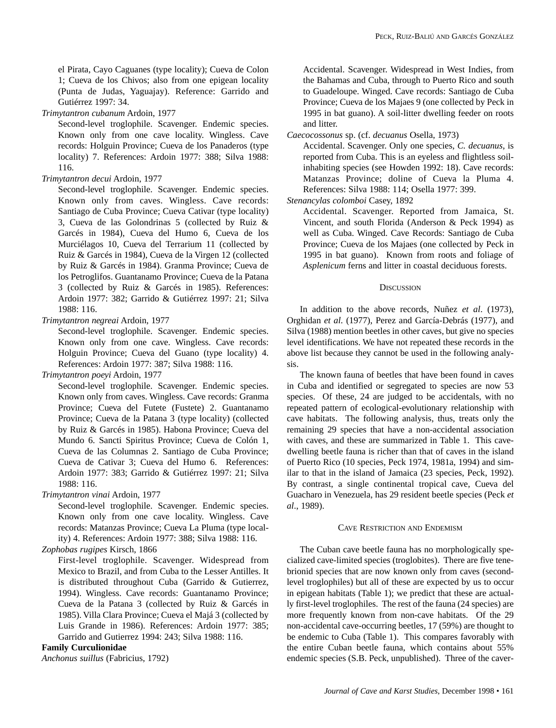el Pirata, Cayo Caguanes (type locality); Cueva de Colon 1; Cueva de los Chivos; also from one epigean locality (Punta de Judas, Yaguajay). Reference: Garrido and Gutiérrez 1997: 34.

*Trimytantron cubanum* Ardoin, 1977

Second-level troglophile. Scavenger. Endemic species. Known only from one cave locality. Wingless. Cave records: Holguin Province; Cueva de los Panaderos (type locality) 7. References: Ardoin 1977: 388; Silva 1988: 116.

## *Trimytantron decui* Ardoin, 1977

Second-level troglophile. Scavenger. Endemic species. Known only from caves. Wingless. Cave records: Santiago de Cuba Province; Cueva Cativar (type locality) 3, Cueva de las Golondrinas 5 (collected by Ruiz & Garcés in 1984), Cueva del Humo 6, Cueva de los Murciélagos 10, Cueva del Terrarium 11 (collected by Ruiz & Garcés in 1984), Cueva de la Virgen 12 (collected by Ruiz & Garcés in 1984). Granma Province; Cueva de los Petroglifos. Guantanamo Province; Cueva de la Patana 3 (collected by Ruiz & Garcés in 1985). References: Ardoin 1977: 382; Garrido & Gutiérrez 1997: 21; Silva 1988: 116.

## *Trimytantron negreai* Ardoin, 1977

Second-level troglophile. Scavenger. Endemic species. Known only from one cave. Wingless. Cave records: Holguin Province; Cueva del Guano (type locality) 4. References: Ardoin 1977: 387; Silva 1988: 116.

*Trimytantron poeyi* Ardoin, 1977

Second-level troglophile. Scavenger. Endemic species. Known only from caves. Wingless. Cave records: Granma Province; Cueva del Futete (Fustete) 2. Guantanamo Province; Cueva de la Patana 3 (type locality) (collected by Ruiz & Garcés in 1985). Habona Province; Cueva del Mundo 6. Sancti Spiritus Province; Cueva de Colón 1, Cueva de las Columnas 2. Santiago de Cuba Province; Cueva de Cativar 3; Cueva del Humo 6. References: Ardoin 1977: 383; Garrido & Gutiérrez 1997: 21; Silva 1988: 116.

## *Trimytantron vinai* Ardoin, 1977

Second-level troglophile. Scavenger. Endemic species. Known only from one cave locality. Wingless. Cave records: Matanzas Province; Cueva La Pluma (type locality) 4. References: Ardoin 1977: 388; Silva 1988: 116.

*Zophobas rugipes* Kirsch, 1866

First-level troglophile. Scavenger. Widespread from Mexico to Brazil, and from Cuba to the Lesser Antilles. It is distributed throughout Cuba (Garrido & Gutierrez, 1994). Wingless. Cave records: Guantanamo Province; Cueva de la Patana 3 (collected by Ruiz & Garcés in 1985). Villa Clara Province; Cueva el Majá 3 (collected by Luis Grande in 1986). References: Ardoin 1977: 385; Garrido and Gutierrez 1994: 243; Silva 1988: 116.

## **Family Curculionidae**

*Anchonus suillus* (Fabricius, 1792)

Accidental. Scavenger. Widespread in West Indies, from the Bahamas and Cuba, through to Puerto Rico and south to Guadeloupe. Winged. Cave records: Santiago de Cuba Province; Cueva de los Majaes 9 (one collected by Peck in 1995 in bat guano). A soil-litter dwelling feeder on roots and litter.

*Caecocossonus* sp. (cf. *decuanus* Osella, 1973)

Accidental. Scavenger. Only one species, *C. decuanus*, is reported from Cuba. This is an eyeless and flightless soilinhabiting species (see Howden 1992: 18). Cave records: Matanzas Province; doline of Cueva la Pluma 4. References: Silva 1988: 114; Osella 1977: 399.

*Stenancylas colomboi* Casey, 1892

Accidental. Scavenger. Reported from Jamaica, St. Vincent, and south Florida (Anderson & Peck 1994) as well as Cuba. Winged. Cave Records: Santiago de Cuba Province; Cueva de los Majaes (one collected by Peck in 1995 in bat guano). Known from roots and foliage of *Asplenicum* ferns and litter in coastal deciduous forests.

## **DISCUSSION**

In addition to the above records, Nuñez *et al*. (1973), Orghidan *et al*. (1977), Perez and García-Debrás (1977), and Silva (1988) mention beetles in other caves, but give no species level identifications. We have not repeated these records in the above list because they cannot be used in the following analysis.

The known fauna of beetles that have been found in caves in Cuba and identified or segregated to species are now 53 species. Of these, 24 are judged to be accidentals, with no repeated pattern of ecological-evolutionary relationship with cave habitats. The following analysis, thus, treats only the remaining 29 species that have a non-accidental association with caves, and these are summarized in Table 1. This cavedwelling beetle fauna is richer than that of caves in the island of Puerto Rico (10 species, Peck 1974, 1981a, 1994) and similar to that in the island of Jamaica (23 species, Peck, 1992). By contrast, a single continental tropical cave, Cueva del Guacharo in Venezuela, has 29 resident beetle species (Peck *et al*., 1989).

## CAVE RESTRICTION AND ENDEMISM

The Cuban cave beetle fauna has no morphologically specialized cave-limited species (troglobites). There are five tenebrionid species that are now known only from caves (secondlevel troglophiles) but all of these are expected by us to occur in epigean habitats (Table 1); we predict that these are actually first-level troglophiles. The rest of the fauna (24 species) are more frequently known from non-cave habitats. Of the 29 non-accidental cave-occurring beetles, 17 (59%) are thought to be endemic to Cuba (Table 1). This compares favorably with the entire Cuban beetle fauna, which contains about 55% endemic species (S.B. Peck, unpublished). Three of the caver-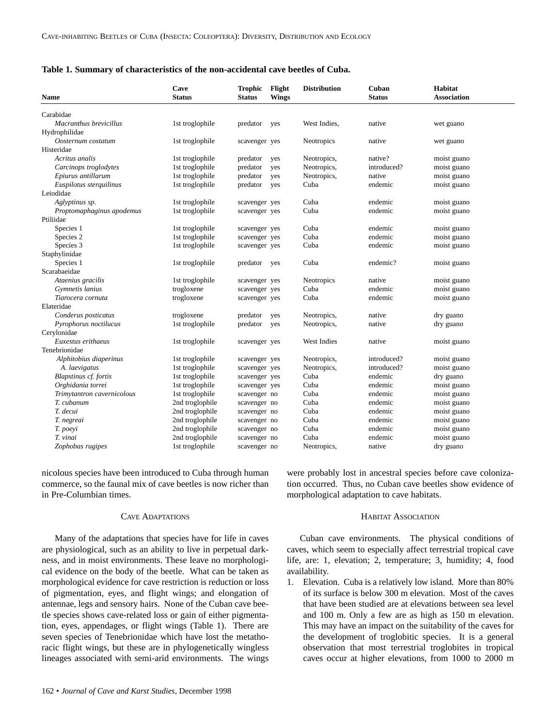| <b>Name</b>                | Cave<br><b>Status</b> | <b>Trophic</b><br><b>Status</b> | Flight<br><b>Wings</b> | <b>Distribution</b> | Cuban<br><b>Status</b> | <b>Habitat</b><br><b>Association</b> |  |
|----------------------------|-----------------------|---------------------------------|------------------------|---------------------|------------------------|--------------------------------------|--|
| Carabidae                  |                       |                                 |                        |                     |                        |                                      |  |
| Macranthus brevicillus     | 1st troglophile       | predator                        | yes                    | West Indies,        | native                 | wet guano                            |  |
| Hydrophilidae              |                       |                                 |                        |                     |                        |                                      |  |
| Oosternum costatum         | 1st troglophile       | scavenger yes                   |                        | <b>Neotropics</b>   | native                 | wet guano                            |  |
| Histeridae                 |                       |                                 |                        |                     |                        |                                      |  |
| Acritus analis             | 1st troglophile       | predator                        | yes                    | Neotropics,         | native?                | moist guano                          |  |
| Carcinops troglodytes      | 1st troglophile       | predator                        | yes                    | Neotropics,         | introduced?            | moist guano                          |  |
| Epiurus antillarum         | 1st troglophile       | predator                        | yes                    | Neotropics,         | native                 | moist guano                          |  |
| Euspilotus sterquilinus    | 1st troglophile       | predator                        | yes                    | Cuba                | endemic                | moist guano                          |  |
| Leiodidae                  |                       |                                 |                        |                     |                        |                                      |  |
| Aglyptinus sp.             | 1st troglophile       | scavenger yes                   |                        | Cuba                | endemic                | moist guano                          |  |
| Proptomaphaginus apodemus  | 1st troglophile       | scavenger yes                   |                        | Cuba                | endemic                | moist guano                          |  |
| Ptiliidae                  |                       |                                 |                        |                     |                        |                                      |  |
| Species 1                  | 1st troglophile       | scavenger yes                   |                        | Cuba                | endemic                | moist guano                          |  |
| Species 2                  | 1st troglophile       | scavenger yes                   |                        | Cuba                | endemic                | moist guano                          |  |
| Species 3                  | 1st troglophile       | scavenger yes                   |                        | Cuba                | endemic                | moist guano                          |  |
| Staphylinidae              |                       |                                 |                        |                     |                        |                                      |  |
| Species 1                  | 1st troglophile       | predator                        | yes                    | Cuba                | endemic?               | moist guano                          |  |
| Scarabaeidae               |                       |                                 |                        |                     |                        |                                      |  |
| Ataenius gracilis          | 1st troglophile       | scavenger yes                   |                        | Neotropics          | native                 | moist guano                          |  |
| Gymnetis lanius            | trogloxene            | scavenger yes                   |                        | Cuba                | endemic                | moist guano                          |  |
| Tiarocera cornuta          | trogloxene            | scavenger yes                   |                        | Cuba                | endemic                | moist guano                          |  |
| Elateridae                 |                       |                                 |                        |                     |                        |                                      |  |
| Conderus posticatus        | trogloxene            | predator                        | yes                    | Neotropics,         | native                 | dry guano                            |  |
| Pyrophorus noctilucus      | 1st troglophile       | predator                        | yes                    | Neotropics,         | native                 | dry guano                            |  |
| Cerylonidae                |                       |                                 |                        |                     |                        |                                      |  |
| Euxestus erithaeus         | 1st troglophile       | scavenger yes                   |                        | West Indies         | native                 | moist guano                          |  |
| Tenebrionidae              |                       |                                 |                        |                     |                        |                                      |  |
| Alphitobius diaperinus     | 1st troglophile       | scavenger yes                   |                        | Neotropics,         | introduced?            | moist guano                          |  |
| A. laevigatus              | 1st troglophile       | scavenger yes                   |                        | Neotropics,         | introduced?            | moist guano                          |  |
| Blapstinus cf. fortis      | 1st troglophile       | scavenger yes                   |                        | Cuba                | endemic                | dry guano                            |  |
| Orghidania torrei          | 1st troglophile       | scavenger yes                   |                        | Cuba                | endemic                | moist guano                          |  |
| Trimytantron cavernicolous | 1st troglophile       | scavenger no                    |                        | Cuba                | endemic                | moist guano                          |  |
| T. cubanum                 | 2nd troglophile       | scavenger no                    |                        | Cuba                | endemic                | moist guano                          |  |
| T. decui                   | 2nd troglophile       | scavenger no                    |                        | Cuba                | endemic                | moist guano                          |  |
| T. negreai                 | 2nd troglophile       | scavenger no                    |                        | Cuba                | endemic                | moist guano                          |  |
| T. poeyi                   | 2nd troglophile       | scavenger no                    |                        | Cuba                | endemic                | moist guano                          |  |
| T. vinai                   | 2nd troglophile       | scavenger no                    |                        | Cuba                | endemic                | moist guano                          |  |
| Zophobas rugipes           | 1st troglophile       | scavenger no                    |                        | Neotropics,         | native                 | dry guano                            |  |

nicolous species have been introduced to Cuba through human commerce, so the faunal mix of cave beetles is now richer than in Pre-Columbian times.

#### CAVE ADAPTATIONS

Many of the adaptations that species have for life in caves are physiological, such as an ability to live in perpetual darkness, and in moist environments. These leave no morphological evidence on the body of the beetle. What can be taken as morphological evidence for cave restriction is reduction or loss of pigmentation, eyes, and flight wings; and elongation of antennae, legs and sensory hairs. None of the Cuban cave beetle species shows cave-related loss or gain of either pigmentation, eyes, appendages, or flight wings (Table 1). There are seven species of Tenebrionidae which have lost the metathoracic flight wings, but these are in phylogenetically wingless lineages associated with semi-arid environments. The wings

were probably lost in ancestral species before cave colonization occurred. Thus, no Cuban cave beetles show evidence of morphological adaptation to cave habitats.

#### HABITAT ASSOCIATION

Cuban cave environments. The physical conditions of caves, which seem to especially affect terrestrial tropical cave life, are: 1, elevation; 2, temperature; 3, humidity; 4, food availability.

1. Elevation. Cuba is a relatively low island. More than 80% of its surface is below 300 m elevation. Most of the caves that have been studied are at elevations between sea level and 100 m. Only a few are as high as 150 m elevation. This may have an impact on the suitability of the caves for the development of troglobitic species. It is a general observation that most terrestrial troglobites in tropical caves occur at higher elevations, from 1000 to 2000 m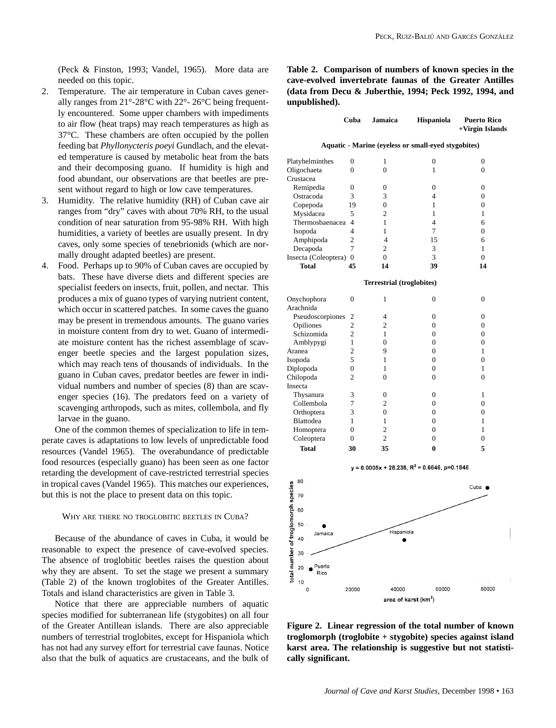(Peck & Finston, 1993; Vandel, 1965). More data are needed on this topic.

- 2. Temperature. The air temperature in Cuban caves generally ranges from 21°-28°C with 22°- 26°C being frequently encountered. Some upper chambers with impediments to air flow (heat traps) may reach temperatures as high as 37°C. These chambers are often occupied by the pollen feeding bat *Phyllonycteris poeyi* Gundlach, and the elevated temperature is caused by metabolic heat from the bats and their decomposing guano. If humidity is high and food abundant, our observations are that beetles are present without regard to high or low cave temperatures.
- 3. Humidity. The relative humidity (RH) of Cuban cave air ranges from "dry" caves with about 70% RH, to the usual condition of near saturation from 95-98% RH. With high humidities, a variety of beetles are usually present. In dry caves, only some species of tenebrionids (which are normally drought adapted beetles) are present.
- 4. Food. Perhaps up to 90% of Cuban caves are occupied by bats. These have diverse diets and different species are specialist feeders on insects, fruit, pollen, and nectar. This produces a mix of guano types of varying nutrient content, which occur in scattered patches. In some caves the guano may be present in tremendous amounts. The guano varies in moisture content from dry to wet. Guano of intermediate moisture content has the richest assemblage of scavenger beetle species and the largest population sizes, which may reach tens of thousands of individuals. In the guano in Cuban caves, predator beetles are fewer in individual numbers and number of species (8) than are scavenger species (16). The predators feed on a variety of scavenging arthropods, such as mites, collembola, and fly larvae in the guano.

One of the common themes of specialization to life in temperate caves is adaptations to low levels of unpredictable food resources (Vandel 1965). The overabundance of predictable food resources (especially guano) has been seen as one factor retarding the development of cave-restricted terrestrial species in tropical caves (Vandel 1965). This matches our experiences, but this is not the place to present data on this topic.

#### WHY ARE THERE NO TROGLOBITIC BEETLES IN CUBA?

Because of the abundance of caves in Cuba, it would be reasonable to expect the presence of cave-evolved species. The absence of troglobitic beetles raises the question about why they are absent. To set the stage we present a summary (Table 2) of the known troglobites of the Greater Antilles. Totals and island characteristics are given in Table 3.

Notice that there are appreciable numbers of aquatic species modified for subterranean life (stygobites) on all four of the Greater Antillean islands. There are also appreciable numbers of terrestrial troglobites, except for Hispaniola which has not had any survey effort for terrestrial cave faunas. Notice also that the bulk of aquatics are crustaceans, and the bulk of **Table 2. Comparison of numbers of known species in the cave-evolved invertebrate faunas of the Greater Antilles (data from Decu & Juberthie, 1994; Peck 1992, 1994, and unpublished).**

|                      | Cuba           | <b>Jamaica</b>                   | <b>Hispaniola</b>                                   | <b>Puerto Rico</b><br>+Virgin Islands |
|----------------------|----------------|----------------------------------|-----------------------------------------------------|---------------------------------------|
|                      |                |                                  | Aquatic - Marine (eyeless or small-eyed stygobites) |                                       |
| Platyhelminthes      | 0              | 1                                | 0                                                   | 0                                     |
| Oligochaeta          | 0              | $\theta$                         | 1                                                   | $\Omega$                              |
| Crustacea            |                |                                  |                                                     |                                       |
| Remipedia            | 0              | 0                                | $\Omega$                                            | $\Omega$                              |
| Ostracoda            | 3              | 3                                | $\overline{4}$                                      | $\overline{0}$                        |
| Copepoda             | 19             | $\theta$                         | 1                                                   | $\Omega$                              |
| Mysidacea            | 5              | $\overline{c}$                   | 1                                                   | 1                                     |
| Thermosbaenacea      | 4              | 1                                | $\overline{4}$                                      | 6                                     |
| Isopoda              | 4              | 1                                | 7                                                   | $\overline{0}$                        |
| Amphipoda            | $\overline{2}$ | $\overline{4}$                   | 15                                                  | 6                                     |
| Decapoda             | $\overline{7}$ | $\overline{c}$                   | 3                                                   | 1                                     |
| Insecta (Coleoptera) | $\theta$       | $\overline{0}$                   | 3                                                   | $\overline{0}$                        |
| <b>Total</b>         | 45             | 14                               | 39                                                  | 14                                    |
|                      |                | <b>Terrestrial (troglobites)</b> |                                                     |                                       |
| Onychophora          | $\overline{0}$ | $\mathbf{1}$                     | $\overline{0}$                                      | $\overline{0}$                        |
| Arachnida            |                |                                  |                                                     |                                       |
| Pseudoscorpiones     | 2              | 4                                | $\boldsymbol{0}$                                    | $\overline{0}$                        |
| Opiliones            | $\overline{c}$ | $\overline{c}$                   | $\mathbf{0}$                                        | $\mathbf{0}$                          |
| Schizomida           | $\overline{2}$ | 1                                | $\overline{0}$                                      | $\overline{0}$                        |
| Amblypygi            | $\mathbf{1}$   | $\overline{0}$                   | $\overline{0}$                                      | $\overline{0}$                        |
| Aranea               | $\overline{2}$ | 9                                | $\theta$                                            | 1                                     |
| Isopoda              | 5              | 1                                | $\overline{0}$                                      | $\overline{0}$                        |
| Diplopoda            | $\overline{0}$ | 1                                | $\overline{0}$                                      | 1                                     |
| Chilopoda            | $\overline{2}$ | $\theta$                         | $\boldsymbol{0}$                                    | $\overline{0}$                        |
| Insecta              |                |                                  |                                                     |                                       |
| Thysanura            | 3              | 0                                | $\boldsymbol{0}$                                    | 1                                     |
| Collembola           | 7              | $\overline{c}$                   | $\overline{0}$                                      | $\overline{0}$                        |
| Orthoptera           | 3              | $\overline{0}$                   | $\overline{0}$                                      | $\overline{0}$                        |
| Blattodea            | 1              | 1                                | $\overline{0}$                                      | 1                                     |
| Homoptera            | $\overline{0}$ | $\overline{c}$                   | $\overline{0}$                                      | 1                                     |
| Coleoptera           | 0              | $\overline{c}$                   | $\overline{0}$                                      | 0                                     |
| <b>Total</b>         | 30             | 35                               | $\bf{0}$                                            | 5                                     |
|                      |                |                                  | $v = 0.0005x + 28.238$ . $R^2 = 0.6646$ . p=0.1848  |                                       |



**Figure 2. Linear regression of the total number of known troglomorph (troglobite + stygobite) species against island karst area. The relationship is suggestive but not statistically significant.**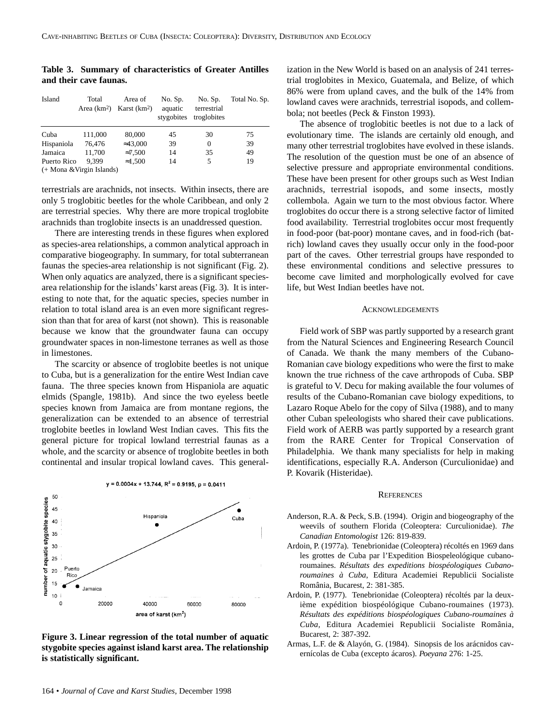**Table 3. Summary of characteristics of Greater Antilles and their cave faunas.**

| Island                    | Total   | Area of<br>Area $(km^2)$ Karst $(km^2)$ | No. Sp.<br>aquatic<br>stygobites | No. Sp.<br>terrestrial<br>troglobites | Total No. Sp. |  |  |
|---------------------------|---------|-----------------------------------------|----------------------------------|---------------------------------------|---------------|--|--|
| Cuba                      | 111,000 | 80,000                                  | 45                               | 30                                    | 75            |  |  |
| Hispaniola                | 76.476  | $\approx 43,000$                        | 39                               | $\Omega$                              | 39            |  |  |
| Jamaica                   | 11.700  | $\approx 7,500$                         | 14                               | 35                                    | 49            |  |  |
| Puerto Rico               | 9.399   | $\approx 1.500$                         | 14                               | 5                                     | 19            |  |  |
| (+ Mona & Virgin Islands) |         |                                         |                                  |                                       |               |  |  |

terrestrials are arachnids, not insects. Within insects, there are only 5 troglobitic beetles for the whole Caribbean, and only 2 are terrestrial species. Why there are more tropical troglobite arachnids than troglobite insects is an unaddressed question.

There are interesting trends in these figures when explored as species-area relationships, a common analytical approach in comparative biogeography. In summary, for total subterranean faunas the species-area relationship is not significant (Fig. 2). When only aquatics are analyzed, there is a significant speciesarea relationship for the islands' karst areas (Fig. 3). It is interesting to note that, for the aquatic species, species number in relation to total island area is an even more significant regression than that for area of karst (not shown). This is reasonable because we know that the groundwater fauna can occupy groundwater spaces in non-limestone terranes as well as those in limestones.

The scarcity or absence of troglobite beetles is not unique to Cuba, but is a generalization for the entire West Indian cave fauna. The three species known from Hispaniola are aquatic elmids (Spangle, 1981b). And since the two eyeless beetle species known from Jamaica are from montane regions, the generalization can be extended to an absence of terrestrial troglobite beetles in lowland West Indian caves. This fits the general picture for tropical lowland terrestrial faunas as a whole, and the scarcity or absence of troglobite beetles in both continental and insular tropical lowland caves. This general-



 $y = 0.0004x + 13.744$ ,  $R^2 = 0.9195$ ,  $p = 0.0411$ 

**Figure 3. Linear regression of the total number of aquatic stygobite species against island karst area. The relationship is statistically significant.**

ization in the New World is based on an analysis of 241 terrestrial troglobites in Mexico, Guatemala, and Belize, of which 86% were from upland caves, and the bulk of the 14% from lowland caves were arachnids, terrestrial isopods, and collembola; not beetles (Peck & Finston 1993).

The absence of troglobitic beetles is not due to a lack of evolutionary time. The islands are certainly old enough, and many other terrestrial troglobites have evolved in these islands. The resolution of the question must be one of an absence of selective pressure and appropriate environmental conditions. These have been present for other groups such as West Indian arachnids, terrestrial isopods, and some insects, mostly collembola. Again we turn to the most obvious factor. Where troglobites do occur there is a strong selective factor of limited food availability. Terrestrial troglobites occur most frequently in food-poor (bat-poor) montane caves, and in food-rich (batrich) lowland caves they usually occur only in the food-poor part of the caves. Other terrestrial groups have responded to these environmental conditions and selective pressures to become cave limited and morphologically evolved for cave life, but West Indian beetles have not.

#### **ACKNOWLEDGEMENTS**

Field work of SBP was partly supported by a research grant from the Natural Sciences and Engineering Research Council of Canada. We thank the many members of the Cubano-Romanian cave biology expeditions who were the first to make known the true richness of the cave arthropods of Cuba. SBP is grateful to V. Decu for making available the four volumes of results of the Cubano-Romanian cave biology expeditions, to Lazaro Roque Abelo for the copy of Silva (1988), and to many other Cuban speleologists who shared their cave publications. Field work of AERB was partly supported by a research grant from the RARE Center for Tropical Conservation of Philadelphia. We thank many specialists for help in making identifications, especially R.A. Anderson (Curculionidae) and P. Kovarik (Histeridae).

#### **REFERENCES**

- Anderson, R.A. & Peck, S.B. (1994). Origin and biogeography of the weevils of southern Florida (Coleoptera: Curculionidae). *The Canadian Entomologist* 126: 819-839.
- Ardoin, P. (1977a). Tenebrionidae (Coleoptera) récoltés en 1969 dans les grottes de Cuba par l'Expedition Biospeleológique cubanoroumaines. *Résultats des expeditions biospéologiques Cubanoroumaines à Cuba*, Editura Academiei Republicii Socialiste România, Bucarest, 2: 381-385.
- Ardoin, P. (1977). Tenebrionidae (Coleoptera) récoltés par la deuxième expédition biospéológique Cubano-roumaines (1973). *Résultats des expéditions biospéologiques Cubano-roumaines à Cuba,* Editura Academiei Republicii Socialiste România, Bucarest, 2: 387-392.
- Armas, L.F. de & Alayón, G. (1984). Sinopsis de los arácnidos cavernícolas de Cuba (excepto ácaros). *Poeyana* 276: 1-25.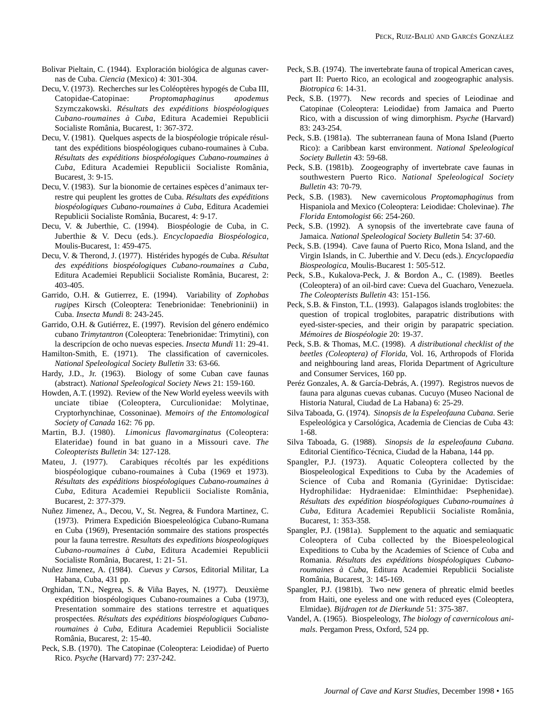- Bolivar Pieltain, C. (1944). Exploración biológica de algunas cavernas de Cuba. *Ciencia* (Mexico) 4: 301-304.
- Decu, V. (1973). Recherches sur les Coléoptères hypogés de Cuba III, Catopidae-Catopinae: *Proptomaphaginus apodemus* Szymczakowski. *Résultats des expéditions biospéologiques Cubano-roumaines à Cuba*, Editura Academiei Republicii Socialiste România, Bucarest, 1: 367-372.
- Decu, V. (1981). Quelques aspects de la biospéologie trópicale résultant des expéditions biospéologiques cubano-roumaines à Cuba. *Résultats des expéditions biospéologiques Cubano-roumaines à Cuba*, Editura Academiei Republicii Socialiste România, Bucarest, 3: 9-15.
- Decu, V. (1983). Sur la bionomie de certaines espèces d'animaux terrestre qui peuplent les grottes de Cuba. *Résultats des expéditions biospéologiques Cubano-roumaines à Cuba*, Editura Academiei Republicii Socialiste România, Bucarest, 4: 9-17.
- Decu, V. & Juberthie, C. (1994). Biospéologie de Cuba, in C. Juberthie & V. Decu (eds.). *Encyclopaedia Biospéologica*, Moulis-Bucarest, 1: 459-475.
- Decu, V. & Therond, J. (1977). Histérides hypogés de Cuba. *Résultat des expéditions biospéologiques Cubano-roumaines a Cuba*, Editura Academiei Republicii Socialiste România, Bucarest, 2: 403-405.
- Garrido, O.H. & Gutierrez, E. (1994). Variability of *Zophobas rugipes* Kirsch (Coleoptera: Tenebrionidae: Tenebrioninii) in Cuba. *Insecta Mundi* 8: 243-245.
- Garrido, O.H. & Gutiérrez, E. (1997). Revisíon del género endémico cubano *Trimytantron* (Coleoptera: Tenebrionidae: Trimytini), con la descripcíon de ocho nuevas especies. *Insecta Mundi* 11: 29-41.
- Hamilton-Smith, E. (1971). The classification of cavernicoles. *National Speleological Society Bulletin* 33: 63-66.
- Hardy, J.D., Jr. (1963). Biology of some Cuban cave faunas (abstract). *National Speleological Society News* 21: 159-160.
- Howden, A.T. (1992). Review of the New World eyeless weevils with unciate tibiae (Coleoptera, Curculionidae: Molytinae, Cryptorhynchinae, Cossoninae). *Memoirs of the Entomological Society of Canada* 162: 76 pp.
- Martin, B.J. (1980). *Limonicus flavomarginatus* (Coleoptera: Elateridae) found in bat guano in a Missouri cave. *The Coleopterists Bulletin* 34: 127-128.
- Mateu, J. (1977). Carabiques récoltés par les expéditions biospéologique cubano-roumaines à Cuba (1969 et 1973)*. Résultats des expéditions biospéologiques Cubano-roumaines à Cuba*, Editura Academiei Republicii Socialiste România, Bucarest, 2: 377-379.
- Nuñez Jimenez, A., Decou, V., St. Negrea, & Fundora Martinez, C. (1973). Primera Expedición Bioespeleológica Cubano-Rumana en Cuba (1969), Presentación sommaire des stations prospectés pour la fauna terrestre. *Resultats des expeditions biospeologiques Cubano-roumaines à Cuba*, Editura Academiei Republicii Socialiste România, Bucarest, 1: 21- 51.
- Nuñez Jimenez, A. (1984). *Cuevas y Carsos*, Editorial Militar, La Habana, Cuba, 431 pp.
- Orghidan, T.N., Negrea, S. & Viña Bayes, N. (1977). Deuxième expédition biospéologiques Cubano-roumaines a Cuba (1973), Presentation sommaire des stations terrestre et aquatiques prospectées. *Résultats des expéditions biospéologiques Cubanoroumaines à Cuba*, Editura Academiei Republicii Socialiste România, Bucarest, 2: 15-40.
- Peck, S.B. (1970). The Catopinae (Coleoptera: Leiodidae) of Puerto Rico. *Psyche* (Harvard) 77: 237-242.
- Peck, S.B. (1974). The invertebrate fauna of tropical American caves, part II: Puerto Rico, an ecological and zoogeographic analysis. *Biotropica* 6: 14-31.
- Peck, S.B. (1977). New records and species of Leiodinae and Catopinae (Coleoptera: Leiodidae) from Jamaica and Puerto Rico, with a discussion of wing dimorphism. *Psyche* (Harvard) 83: 243-254.
- Peck, S.B. (1981a). The subterranean fauna of Mona Island (Puerto Rico): a Caribbean karst environment. *National Speleological Society Bulletin* 43: 59-68.
- Peck, S.B. (1981b). Zoogeography of invertebrate cave faunas in southwestern Puerto Rico. *National Speleological Society Bulletin* 43: 70-79.
- Peck, S.B. (1983). New cavernicolous *Proptomaphaginus* from Hispaniola and Mexico (Coleoptera: Leiodidae: Cholevinae). *The Florida Entomologist* 66: 254-260.
- Peck, S.B. (1992). A synopsis of the invertebrate cave fauna of Jamaica. *National Speleological Society Bulletin* 54: 37-60.
- Peck, S.B. (1994). Cave fauna of Puerto Rico, Mona Island, and the Virgin Islands, in C. Juberthie and V. Decu (eds.). *Encyclopaedia Biospeologica*, Moulis-Bucarest 1: 505-512.
- Peck, S.B., Kukalova-Peck, J. & Bordon A., C. (1989). Beetles (Coleoptera) of an oil-bird cave: Cueva del Guacharo, Venezuela. *The Coleopterists Bulletin* 43: 151-156.
- Peck, S.B. & Finston, T.L. (1993). Galapagos islands troglobites: the question of tropical troglobites, parapatric distributions with eyed-sister-species, and their origin by parapatric speciation. *Mémoires de Biospéologie* 20: 19-37.
- Peck, S.B. & Thomas, M.C. (1998). *A distributional checklist of the beetles (Coleoptera) of Florida*, Vol. 16, Arthropods of Florida and neighbouring land areas, Florida Department of Agriculture and Consumer Services, 160 pp.
- Peréz Gonzales, A. & García-Debrás, A. (1997). Registros nuevos de fauna para algunas cuevas cubanas. Cucuyo (Museo Nacional de Historia Natural, Ciudad de La Habana) 6: 25-29.
- Silva Taboada, G. (1974). *Sinopsis de la Espeleofauna Cubana*. Serie Espeleológica y Carsológica, Academia de Ciencias de Cuba 43: 1-68.
- Silva Taboada, G. (1988). *Sinopsis de la espeleofauna Cubana*. Editorial Científico-Técnica, Ciudad de la Habana, 144 pp.
- Spangler, P.J. (1973). Aquatic Coleoptera collected by the Biospeleological Expeditions to Cuba by the Academies of Science of Cuba and Romania (Gyrinidae: Dytiscidae: Hydrophilidae: Hydraenidae: Elminthidae: Psephenidae). *Résultats des expédition biospéologiques Cubano-roumaines à Cuba*, Editura Academiei Republicii Socialiste România, Bucarest, 1: 353-358.
- Spangler, P.J. (1981a). Supplement to the aquatic and semiaquatic Coleoptera of Cuba collected by the Bioespeleological Expeditions to Cuba by the Academies of Science of Cuba and Romania. *Résultats des expéditions biospéologiques Cubanoroumaines à Cuba*, Editura Academiei Republicii Socialiste România, Bucarest, 3: 145-169.
- Spangler, P.J. (1981b). Two new genera of phreatic elmid beetles from Haiti, one eyeless and one with reduced eyes (Coleoptera, Elmidae). *Bijdragen tot de Dierkunde* 51: 375-387.
- Vandel, A. (1965). Biospeleology, *The biology of cavernicolous animals*. Pergamon Press, Oxford, 524 pp.